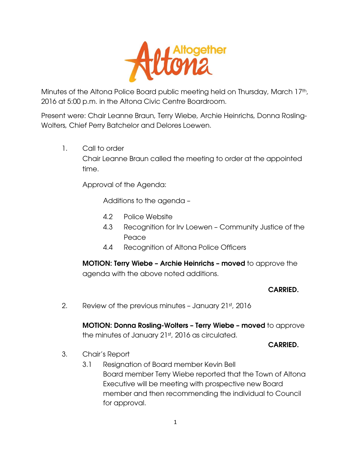

Minutes of the Altona Police Board public meeting held on Thursday, March 17th, 2016 at 5:00 p.m. in the Altona Civic Centre Boardroom.

Present were: Chair Leanne Braun, Terry Wiebe, Archie Heinrichs, Donna Rosling-Wolters, Chief Perry Batchelor and Delores Loewen.

1. Call to order

Chair Leanne Braun called the meeting to order at the appointed time.

Approval of the Agenda:

Additions to the agenda –

- 4.2 Police Website
- 4.3 Recognition for Irv Loewen Community Justice of the Peace
- 4.4 Recognition of Altona Police Officers

**MOTION: Terry Wiebe – Archie Heinrichs – moved** to approve the agenda with the above noted additions.

#### **CARRIED.**

2. Review of the previous minutes - January 21st, 2016

**MOTION: Donna Rosling-Wolters – Terry Wiebe – moved** to approve the minutes of January 21st, 2016 as circulated.

**CARRIED.** 

- 3. Chair's Report
	- 3.1 Resignation of Board member Kevin Bell Board member Terry Wiebe reported that the Town of Altona Executive will be meeting with prospective new Board member and then recommending the individual to Council for approval.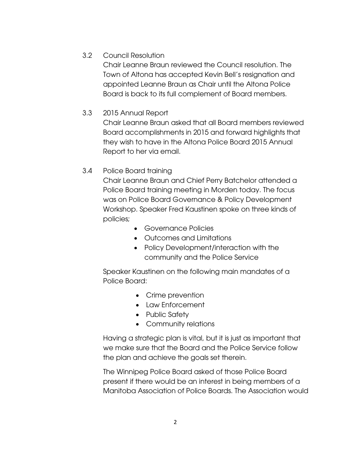## 3.2 Council Resolution

Chair Leanne Braun reviewed the Council resolution. The Town of Altona has accepted Kevin Bell's resignation and appointed Leanne Braun as Chair until the Altona Police Board is back to its full complement of Board members.

## 3.3 2015 Annual Report

Chair Leanne Braun asked that all Board members reviewed Board accomplishments in 2015 and forward highlights that they wish to have in the Altona Police Board 2015 Annual Report to her via email.

## 3.4 Police Board training

Chair Leanne Braun and Chief Perry Batchelor attended a Police Board training meeting in Morden today. The focus was on Police Board Governance & Policy Development Workshop. Speaker Fred Kaustinen spoke on three kinds of policies;

- Governance Policies
- Outcomes and Limitations
- Policy Development/interaction with the community and the Police Service

Speaker Kaustinen on the following main mandates of a Police Board:

- Crime prevention
- Law Enforcement
- Public Safety
- Community relations

Having a strategic plan is vital, but it is just as important that we make sure that the Board and the Police Service follow the plan and achieve the goals set therein.

The Winnipeg Police Board asked of those Police Board present if there would be an interest in being members of a Manitoba Association of Police Boards. The Association would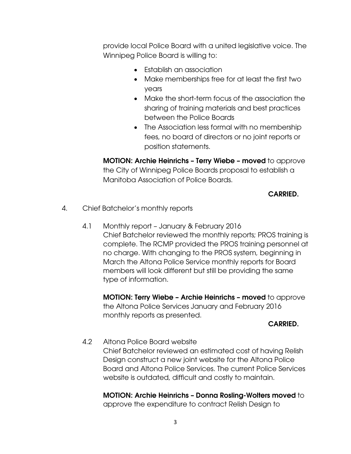provide local Police Board with a united legislative voice. The Winnipeg Police Board is willing to:

- Establish an association
- Make memberships free for at least the first two years
- Make the short-term focus of the association the sharing of training materials and best practices between the Police Boards
- The Association less formal with no membership fees, no board of directors or no joint reports or position statements.

**MOTION: Archie Heinrichs – Terry Wiebe – moved** to approve the City of Winnipeg Police Boards proposal to establish a Manitoba Association of Police Boards.

## **CARRIED.**

- 4. Chief Batchelor's monthly reports
	- 4.1 Monthly report January & February 2016 Chief Batchelor reviewed the monthly reports; PROS training is complete. The RCMP provided the PROS training personnel at no charge. With changing to the PROS system, beginning in March the Altona Police Service monthly reports for Board members will look different but still be providing the same type of information.

**MOTION: Terry Wiebe – Archie Heinrichs – moved** to approve the Altona Police Services January and February 2016 monthly reports as presented.

#### **CARRIED.**

4.2 Altona Police Board website

Chief Batchelor reviewed an estimated cost of having Relish Design construct a new joint website for the Altona Police Board and Altona Police Services. The current Police Services website is outdated, difficult and costly to maintain.

# **MOTION: Archie Heinrichs – Donna Rosling-Wolters moved** to

approve the expenditure to contract Relish Design to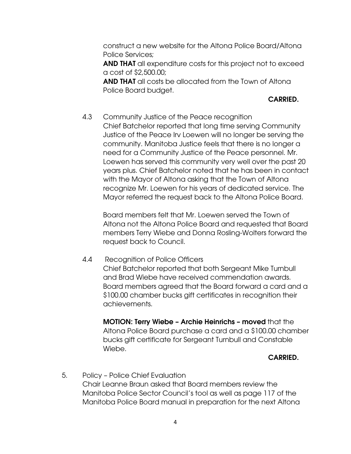construct a new website for the Altona Police Board/Altona Police Services;

**AND THAT** all expenditure costs for this project not to exceed a cost of \$2,500.00;

**AND THAT** all costs be allocated from the Town of Altona Police Board budget.

## **CARRIED.**

 4.3 Community Justice of the Peace recognition Chief Batchelor reported that long time serving Community Justice of the Peace Irv Loewen will no longer be serving the community. Manitoba Justice feels that there is no longer a need for a Community Justice of the Peace personnel. Mr. Loewen has served this community very well over the past 20 years plus. Chief Batchelor noted that he has been in contact with the Mayor of Altona asking that the Town of Altona recognize Mr. Loewen for his years of dedicated service. The Mayor referred the request back to the Altona Police Board.

Board members felt that Mr. Loewen served the Town of Altona not the Altona Police Board and requested that Board members Terry Wiebe and Donna Rosling-Wolters forward the request back to Council.

4.4 Recognition of Police Officers

Chief Batchelor reported that both Sergeant Mike Turnbull and Brad Wiebe have received commendation awards. Board members agreed that the Board forward a card and a \$100.00 chamber bucks gift certificates in recognition their achievements.

**MOTION: Terry Wiebe – Archie Heinrichs – moved** that the Altona Police Board purchase a card and a \$100.00 chamber bucks gift certificate for Sergeant Turnbull and Constable Wiebe.

#### **CARRIED.**

5. Policy – Police Chief Evaluation Chair Leanne Braun asked that Board members review the Manitoba Police Sector Council's tool as well as page 117 of the Manitoba Police Board manual in preparation for the next Altona